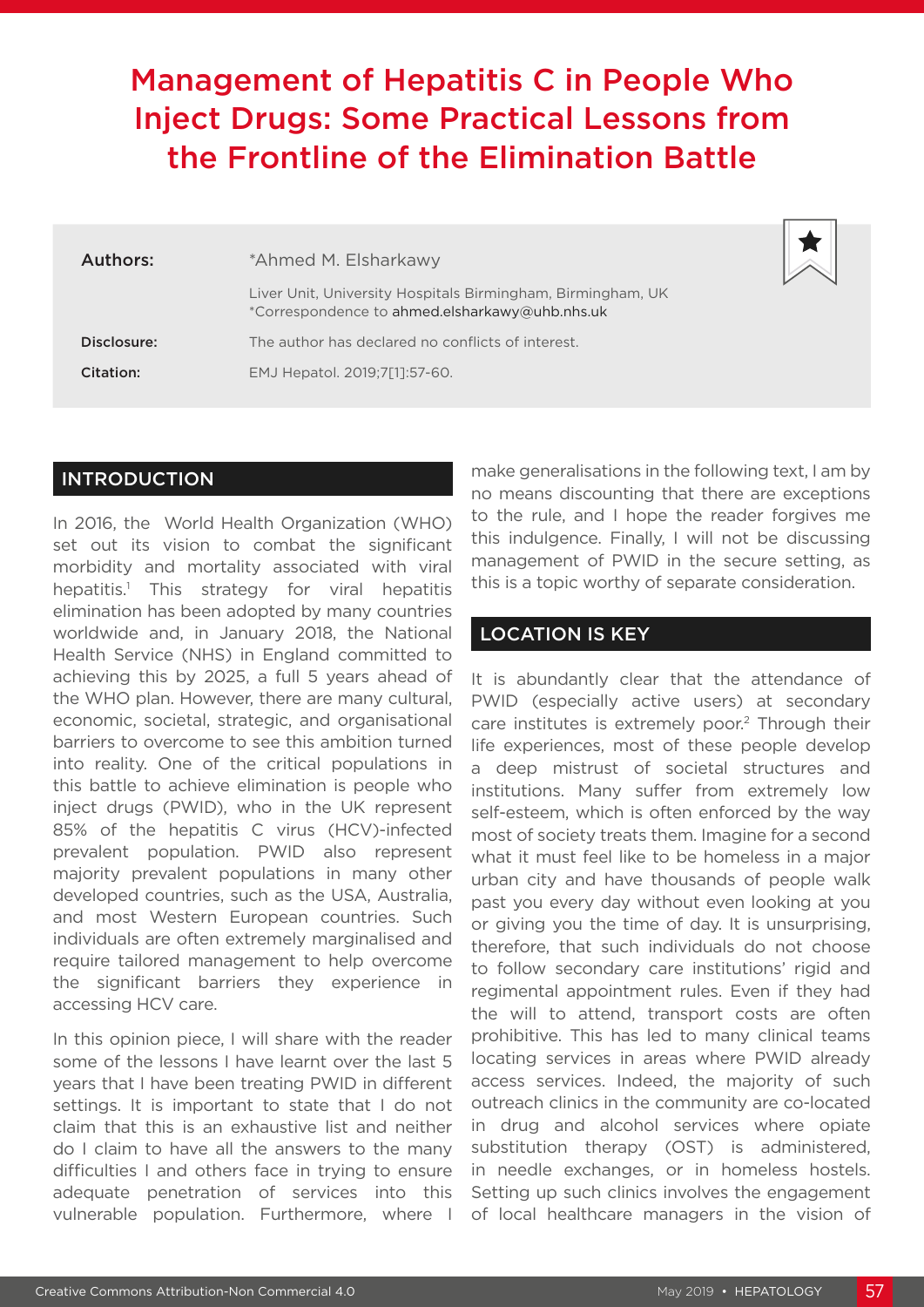# Management of Hepatitis C in People Who Inject Drugs: Some Practical Lessons from the Frontline of the Elimination Battle

| Authors:    | *Ahmed M. Elsharkawy                                                                                          |
|-------------|---------------------------------------------------------------------------------------------------------------|
|             | Liver Unit, University Hospitals Birmingham, Birmingham, UK<br>*Correspondence to ahmed.elsharkawy@uhb.nhs.uk |
| Disclosure: | The author has declared no conflicts of interest.                                                             |
| Citation:   | EMJ Hepatol. 2019;7[1]:57-60.                                                                                 |

### INTRODUCTION

In 2016, the World Health Organization (WHO) set out its vision to combat the significant morbidity and mortality associated with viral hepatitis.1 This strategy for viral hepatitis elimination has been adopted by many countries worldwide and, in January 2018, the National Health Service (NHS) in England committed to achieving this by 2025, a full 5 years ahead of the WHO plan. However, there are many cultural, economic, societal, strategic, and organisational barriers to overcome to see this ambition turned into reality. One of the critical populations in this battle to achieve elimination is people who inject drugs (PWID), who in the UK represent 85% of the hepatitis C virus (HCV)-infected prevalent population. PWID also represent majority prevalent populations in many other developed countries, such as the USA, Australia, and most Western European countries. Such individuals are often extremely marginalised and require tailored management to help overcome the significant barriers they experience in accessing HCV care.

In this opinion piece, I will share with the reader some of the lessons I have learnt over the last 5 years that I have been treating PWID in different settings. It is important to state that I do not claim that this is an exhaustive list and neither do I claim to have all the answers to the many difficulties I and others face in trying to ensure adequate penetration of services into this vulnerable population. Furthermore, where I

make generalisations in the following text, I am by no means discounting that there are exceptions to the rule, and I hope the reader forgives me this indulgence. Finally, I will not be discussing management of PWID in the secure setting, as this is a topic worthy of separate consideration.

### LOCATION IS KEY

It is abundantly clear that the attendance of PWID (especially active users) at secondary care institutes is extremely poor.<sup>2</sup> Through their life experiences, most of these people develop a deep mistrust of societal structures and institutions. Many suffer from extremely low self-esteem, which is often enforced by the way most of society treats them. Imagine for a second what it must feel like to be homeless in a major urban city and have thousands of people walk past you every day without even looking at you or giving you the time of day. It is unsurprising, therefore, that such individuals do not choose to follow secondary care institutions' rigid and regimental appointment rules. Even if they had the will to attend, transport costs are often prohibitive. This has led to many clinical teams locating services in areas where PWID already access services. Indeed, the majority of such outreach clinics in the community are co-located in drug and alcohol services where opiate substitution therapy (OST) is administered, in needle exchanges, or in homeless hostels. Setting up such clinics involves the engagement of local healthcare managers in the vision of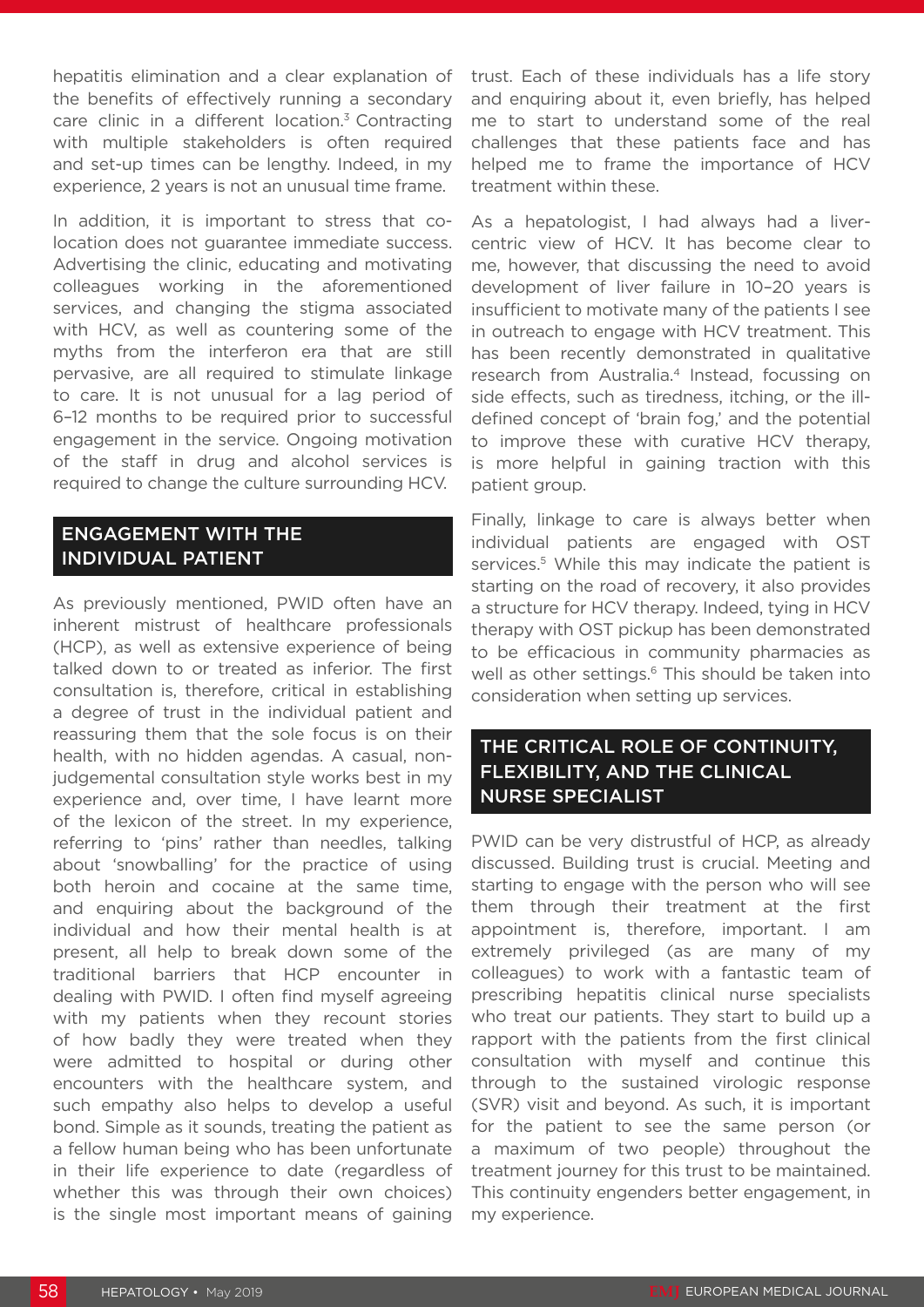hepatitis elimination and a clear explanation of the benefits of effectively running a secondary care clinic in a different location.<sup>3</sup> Contracting with multiple stakeholders is often required and set-up times can be lengthy. Indeed, in my experience, 2 years is not an unusual time frame.

In addition, it is important to stress that colocation does not guarantee immediate success. Advertising the clinic, educating and motivating colleagues working in the aforementioned services, and changing the stigma associated with HCV, as well as countering some of the myths from the interferon era that are still pervasive, are all required to stimulate linkage to care. It is not unusual for a lag period of 6–12 months to be required prior to successful engagement in the service. Ongoing motivation of the staff in drug and alcohol services is required to change the culture surrounding HCV.

## ENGAGEMENT WITH THE INDIVIDUAL PATIENT

As previously mentioned, PWID often have an inherent mistrust of healthcare professionals (HCP), as well as extensive experience of being talked down to or treated as inferior. The first consultation is, therefore, critical in establishing a degree of trust in the individual patient and reassuring them that the sole focus is on their health, with no hidden agendas. A casual, nonjudgemental consultation style works best in my experience and, over time, I have learnt more of the lexicon of the street. In my experience, referring to 'pins' rather than needles, talking about 'snowballing' for the practice of using both heroin and cocaine at the same time, and enquiring about the background of the individual and how their mental health is at present, all help to break down some of the traditional barriers that HCP encounter in dealing with PWID. I often find myself agreeing with my patients when they recount stories of how badly they were treated when they were admitted to hospital or during other encounters with the healthcare system, and such empathy also helps to develop a useful bond. Simple as it sounds, treating the patient as a fellow human being who has been unfortunate in their life experience to date (regardless of whether this was through their own choices) is the single most important means of gaining

trust. Each of these individuals has a life story and enquiring about it, even briefly, has helped me to start to understand some of the real challenges that these patients face and has helped me to frame the importance of HCV treatment within these.

As a hepatologist, I had always had a livercentric view of HCV. It has become clear to me, however, that discussing the need to avoid development of liver failure in 10–20 years is insufficient to motivate many of the patients I see in outreach to engage with HCV treatment. This has been recently demonstrated in qualitative research from Australia.<sup>4</sup> Instead, focussing on side effects, such as tiredness, itching, or the illdefined concept of 'brain fog,' and the potential to improve these with curative HCV therapy, is more helpful in gaining traction with this patient group.

Finally, linkage to care is always better when individual patients are engaged with OST services.<sup>5</sup> While this may indicate the patient is starting on the road of recovery, it also provides a structure for HCV therapy. Indeed, tying in HCV therapy with OST pickup has been demonstrated to be efficacious in community pharmacies as well as other settings.<sup>6</sup> This should be taken into consideration when setting up services.

# THE CRITICAL ROLE OF CONTINUITY, FLEXIBILITY, AND THE CLINICAL NURSE SPECIALIST

PWID can be very distrustful of HCP, as already discussed. Building trust is crucial. Meeting and starting to engage with the person who will see them through their treatment at the first appointment is, therefore, important. I am extremely privileged (as are many of my colleagues) to work with a fantastic team of prescribing hepatitis clinical nurse specialists who treat our patients. They start to build up a rapport with the patients from the first clinical consultation with myself and continue this through to the sustained virologic response (SVR) visit and beyond. As such, it is important for the patient to see the same person (or a maximum of two people) throughout the treatment journey for this trust to be maintained. This continuity engenders better engagement, in my experience.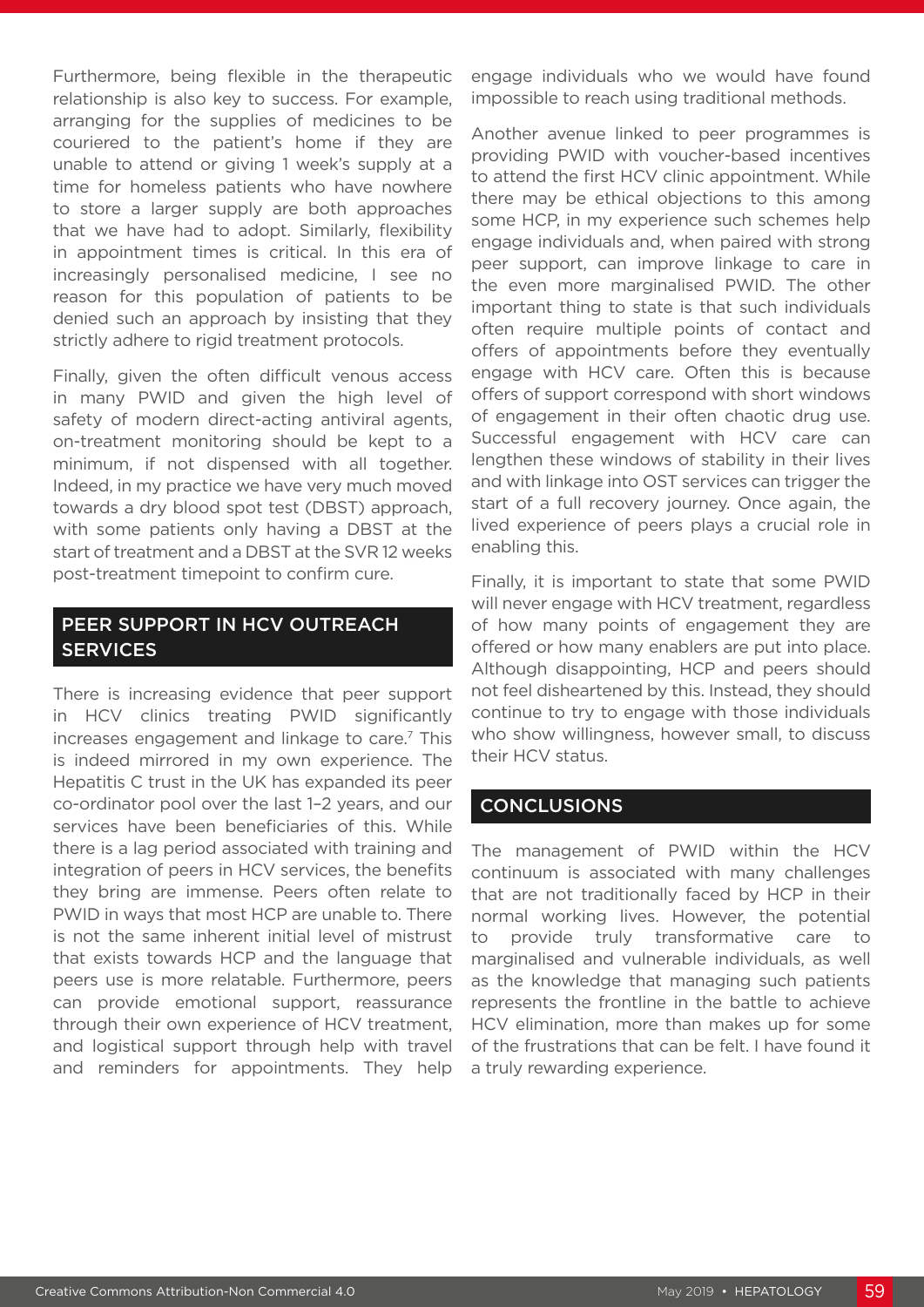Furthermore, being flexible in the therapeutic relationship is also key to success. For example, arranging for the supplies of medicines to be couriered to the patient's home if they are unable to attend or giving 1 week's supply at a time for homeless patients who have nowhere to store a larger supply are both approaches that we have had to adopt. Similarly, flexibility in appointment times is critical. In this era of increasingly personalised medicine, I see no reason for this population of patients to be denied such an approach by insisting that they strictly adhere to rigid treatment protocols.

Finally, given the often difficult venous access in many PWID and given the high level of safety of modern direct-acting antiviral agents, on-treatment monitoring should be kept to a minimum, if not dispensed with all together. Indeed, in my practice we have very much moved towards a dry blood spot test (DBST) approach, with some patients only having a DBST at the start of treatment and a DBST at the SVR 12 weeks post-treatment timepoint to confirm cure.

# PEER SUPPORT IN HCV OUTREACH. **SERVICES**

There is increasing evidence that peer support in HCV clinics treating PWID significantly increases engagement and linkage to care.7 This is indeed mirrored in my own experience. The Hepatitis C trust in the UK has expanded its peer co-ordinator pool over the last 1–2 years, and our services have been beneficiaries of this. While there is a lag period associated with training and integration of peers in HCV services, the benefits they bring are immense. Peers often relate to PWID in ways that most HCP are unable to. There is not the same inherent initial level of mistrust that exists towards HCP and the language that peers use is more relatable. Furthermore, peers can provide emotional support, reassurance through their own experience of HCV treatment, and logistical support through help with travel and reminders for appointments. They help engage individuals who we would have found impossible to reach using traditional methods.

Another avenue linked to peer programmes is providing PWID with voucher-based incentives to attend the first HCV clinic appointment. While there may be ethical objections to this among some HCP, in my experience such schemes help engage individuals and, when paired with strong peer support, can improve linkage to care in the even more marginalised PWID. The other important thing to state is that such individuals often require multiple points of contact and offers of appointments before they eventually engage with HCV care. Often this is because offers of support correspond with short windows of engagement in their often chaotic drug use. Successful engagement with HCV care can lengthen these windows of stability in their lives and with linkage into OST services can trigger the start of a full recovery journey. Once again, the lived experience of peers plays a crucial role in enabling this.

Finally, it is important to state that some PWID will never engage with HCV treatment, regardless of how many points of engagement they are offered or how many enablers are put into place. Although disappointing, HCP and peers should not feel disheartened by this. Instead, they should continue to try to engage with those individuals who show willingness, however small, to discuss their HCV status.

#### **CONCLUSIONS**

The management of PWID within the HCV continuum is associated with many challenges that are not traditionally faced by HCP in their normal working lives. However, the potential to provide truly transformative care to marginalised and vulnerable individuals, as well as the knowledge that managing such patients represents the frontline in the battle to achieve HCV elimination, more than makes up for some of the frustrations that can be felt. I have found it a truly rewarding experience.